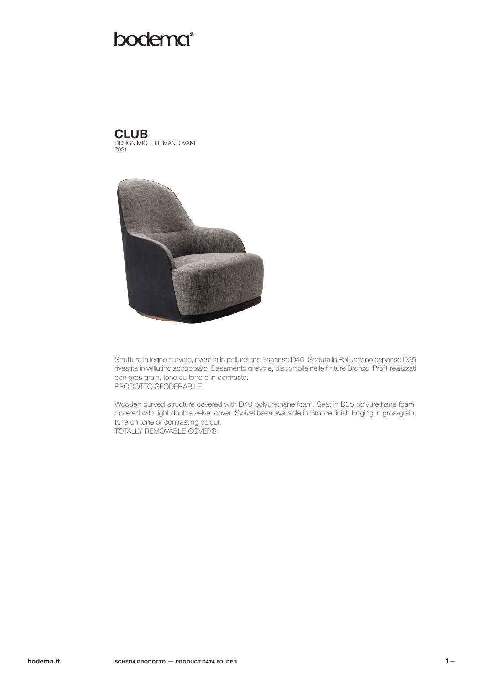# bodema®

DESIGN MICHELE MANTOVANI 2021 **CLUB** 



Struttura in legno curvato, rivestita in poliuretano Espanso D40. Seduta in Poliuretano espanso D35 rivestita in vellutino accoppiato. Basamento girevole, disponibile nelle finiture Bronzo. Profili realizzati con gros grain, tono su tono o in contrasto. PRODOTTO SFODERABILE

Wooden curved structure covered with D40 polyurethane foam. Seat in D35 polyurethane foam, covered with light double velvet cover. Swivel base available in Bronze finish Edging in gros-grain, tone on tone or contrasting colour. TOTALLY REMOVABLE COVERS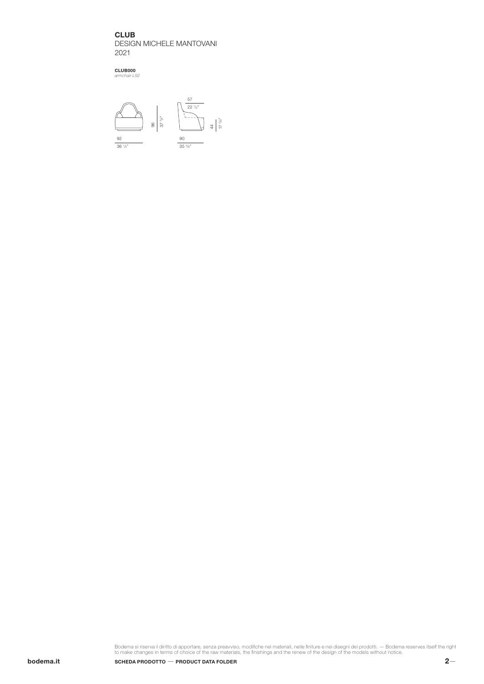**CLUB** DESIGN MICHELE MANTOVANI 2021

CLUB000 *armchair L92*



Bodema si riserva il diritto di apportare, senza preavviso, modifiche nei materiali, nelle finiture e nei disegni dei prodotti. — Bodema reserves itself the right<br>to make changes in terms of choice of the raw materials, th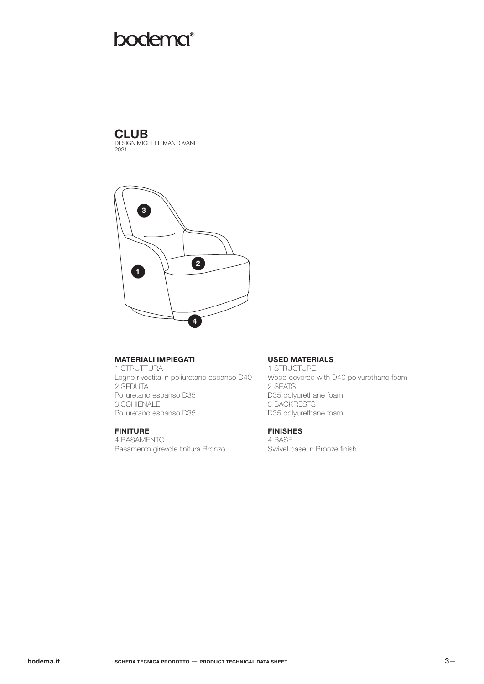# **bodema**®

# **CLUB**

DESIGN MICHELE MANTOVANI 2021



## MATERIALI IMPIEGATI

1 STRUTTURA Legno rivestita in poliuretano espanso D40 2 SEDUTA Poliuretano espanso D35 3 SCHIENALE Poliuretano espanso D35

## FINITURE

4 BASAMENTO Basamento girevole finitura Bronzo

### USED MATERIALS

1 STRUCTURE Wood covered with D40 polyurethane foam 2 SEATS D35 polyurethane foam 3 BACKRESTS D35 polyurethane foam

# FINISHES

4 BASE Swivel base in Bronze finish